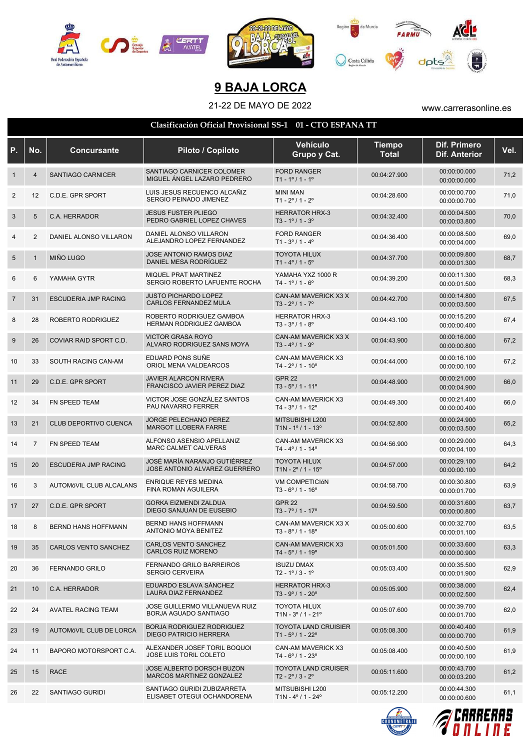

## **9 BAJA LORCA**

## 21-22 DE MAYO DE 2022 www.carrerasonline.es

|  |  | Clasificación Oficial Provisional SS-1  01 - CTO ESPANA TT |  |
|--|--|------------------------------------------------------------|--|
|--|--|------------------------------------------------------------|--|

| Ρ.             | No.            | <b>Concursante</b>          | Piloto / Copiloto                                                 | Vehículo<br>Grupo y Cat.                                          | <b>Tiempo</b><br><b>Total</b> | <b>Dif. Primero</b><br><b>Dif. Anterior</b> | Vel. |
|----------------|----------------|-----------------------------|-------------------------------------------------------------------|-------------------------------------------------------------------|-------------------------------|---------------------------------------------|------|
| $\mathbf 1$    | $\overline{4}$ | SANTIAGO CARNICER           | SANTIAGO CARNICER COLOMER<br>MIGUEL ÁNGEL LAZARO PEDRERO          | <b>FORD RANGER</b><br>$T1 - 1^{\circ}/1 - 1^{\circ}$              | 00:04:27.900                  | 00:00:00.000<br>00:00:00.000                | 71,2 |
| $\overline{2}$ | 12             | C.D.E. GPR SPORT            | LUIS JESUS RECUENCO ALCAÑIZ<br>SERGIO PEINADO JIMENEZ             | <b>MINI MAN</b><br>$T1 - 2^{\circ}/1 - 2^{\circ}$                 | 00:04:28.600                  | 00:00:00.700<br>00:00:00.700                | 71,0 |
| 3              | 5              | C.A. HERRADOR               | <b>JESUS FUSTER PLIEGO</b><br>PEDRO GABRIEL LOPEZ CHAVES          | <b>HERRATOR HRX-3</b><br>$T3 - 1^{\circ}/1 - 3^{\circ}$           | 00:04:32.400                  | 00:00:04.500<br>00:00:03.800                | 70,0 |
| 4              | 2              | DANIEL ALONSO VILLARON      | DANIEL ALONSO VILLARON<br>ALEJANDRO LOPEZ FERNANDEZ               | <b>FORD RANGER</b><br>$T1 - 3^{\circ}/1 - 4^{\circ}$              | 00:04:36.400                  | 00:00:08.500<br>00:00:04.000                | 69,0 |
| 5              | $\mathbf{1}$   | <b>MIÑO LUGO</b>            | JOSE ANTONIO RAMOS DIAZ<br>DANIEL MESA RODRÍGUEZ                  | <b>TOYOTA HILUX</b><br>$T1 - 4^{\circ}/1 - 5^{\circ}$             | 00:04:37.700                  | 00:00:09.800<br>00:00:01.300                | 68,7 |
| 6              | 6              | YAMAHA GYTR                 | MIQUEL PRAT MARTINEZ<br>SERGIO ROBERTO LAFUENTE ROCHA             | YAMAHA YXZ 1000 R<br>$T4 - 1^{\circ}$ / 1 - 6°                    | 00:04:39.200                  | 00:00:11.300<br>00:00:01.500                | 68,3 |
| $\overline{7}$ | 31             | <b>ESCUDERIA JMP RACING</b> | <b>JUSTO PICHARDO LOPEZ</b><br>CARLOS FERNANDEZ MULA              | CAN-AM MAVERICK X3 X<br>$T3 - 2^{\circ}/1 - 7^{\circ}$            | 00:04:42.700                  | 00:00:14.800<br>00:00:03.500                | 67,5 |
| 8              | 28             | ROBERTO RODRIGUEZ           | ROBERTO RODRIGUEZ GAMBOA<br>HERMAN RODRIGUEZ GAMBOA               | <b>HERRATOR HRX-3</b><br>$T3 - 3^{\circ} / 1 - 8^{\circ}$         | 00:04:43.100                  | 00:00:15.200<br>00:00:00.400                | 67,4 |
| 9              | 26             | COVIAR RAID SPORT C.D.      | <b>VICTOR GRASA ROYO</b><br>ALVARO RODRIGUEZ SANS MOYA            | CAN-AM MAVERICK X3 X<br>$T3 - 4^{\circ}/1 - 9^{\circ}$            | 00:04:43.900                  | 00:00:16.000<br>00:00:00.800                | 67,2 |
| 10             | 33             | SOUTH RACING CAN-AM         | EDUARD PONS SUÑE<br>ORIOL MENA VALDEARCOS                         | CAN-AM MAVERICK X3<br>$T4 - 2^{\circ}$ / 1 - 10 $^{\circ}$        | 00:04:44.000                  | 00:00:16.100<br>00:00:00.100                | 67,2 |
| 11             | 29             | C.D.E. GPR SPORT            | <b>JAVIER ALARCON RIVERA</b><br>FRANCISCO JAVIER PEREZ DIAZ       | <b>GPR 22</b><br>$T3 - 5^{\circ}/1 - 11^{\circ}$                  | 00:04:48.900                  | 00:00:21.000<br>00:00:04.900                | 66,0 |
| 12             | 34             | FN SPEED TEAM               | VICTOR JOSE GONZÁLEZ SANTOS<br>PAU NAVARRO FERRER                 | CAN-AM MAVERICK X3<br>$T4 - 3^{\circ} / 1 - 12^{\circ}$           | 00:04:49.300                  | 00:00:21.400<br>00:00:00.400                | 66,0 |
| 13             | 21             | CLUB DEPORTIVO CUENCA       | JORGE PELECHANO PEREZ<br><b>MARGOT LLOBERA FARRE</b>              | MITSUBISHI L200<br>$T1N - 1^{\circ}/1 - 13^{\circ}$               | 00:04:52.800                  | 00:00:24.900<br>00:00:03.500                | 65,2 |
| 14             | 7              | FN SPEED TEAM               | ALFONSO ASENSIO APELLANIZ<br>MARC CALMET CALVERAS                 | CAN-AM MAVERICK X3<br>$T4 - 4^{\circ}/1 - 14^{\circ}$             | 00:04:56.900                  | 00:00:29.000<br>00:00:04.100                | 64,3 |
| 15             | 20             | <b>ESCUDERIA JMP RACING</b> | JOSÉ MARÍA NARANJO GUTIÉRREZ<br>JOSE ANTONIO ALVAREZ GUERRERO     | <b>TOYOTA HILUX</b><br>$T1N - 2^{\circ}/1 - 15^{\circ}$           | 00:04:57.000                  | 00:00:29.100<br>00:00:00.100                | 64,2 |
| 16             | 3              | AUTOMÓVIL CLUB ALCALANS     | <b>ENRIQUE REYES MEDINA</b><br><b>FINA ROMAN AGUILERA</b>         | <b>VM COMPETICIÓN</b><br>$T3 - 6^{\circ}/1 - 16^{\circ}$          | 00:04:58.700                  | 00:00:30.800<br>00:00:01.700                | 63,9 |
| 17             | 27             | C.D.E. GPR SPORT            | <b>GORKA EIZMENDI ZALDUA</b><br>DIEGO SANJUAN DE EUSEBIO          | <b>GPR 22</b><br>$T3 - 7^{\circ}/1 - 17^{\circ}$                  | 00:04:59.500                  | 00:00:31.600<br>00:00:00.800                | 63,7 |
| 18             | 8              | BERND HANS HOFFMANN         | <b>BERND HANS HOFFMANN</b><br>ANTONIO MOYA BENITEZ                | CAN-AM MAVERICK X3 X<br>$T3 - 8^{\circ}/1 - 18^{\circ}$           | 00:05:00.600                  | 00:00:32.700<br>00:00:01.100                | 63,5 |
| 19             | 35             | <b>CARLOS VENTO SANCHEZ</b> | <b>CARLOS VENTO SANCHEZ</b><br>CARLOS RUIZ MORENO                 | <b>CAN-AM MAVERICK X3</b><br>$T4 - 5^{\circ}$ / 1 - 19 $^{\circ}$ | 00:05:01.500                  | 00:00:33.600<br>00:00:00.900                | 63,3 |
| 20             | 36             | <b>FERNANDO GRILO</b>       | <b>FERNANDO GRILO BARREIROS</b><br><b>SERGIO CERVEIRA</b>         | <b>ISUZU DMAX</b><br>$T2 - 1^{\circ}/3 - 1^{\circ}$               | 00:05:03.400                  | 00:00:35.500<br>00:00:01.900                | 62,9 |
| 21             | 10             | C.A. HERRADOR               | EDUARDO ESLAVA SÁNCHEZ<br>LAURA DIAZ FERNANDEZ                    | <b>HERRATOR HRX-3</b><br>$T3 - 9^{\circ} / 1 - 20^{\circ}$        | 00:05:05.900                  | 00:00:38.000<br>00:00:02.500                | 62,4 |
| 22             | 24             | <b>AVATEL RACING TEAM</b>   | JOSE GUILLERMO VILLANUEVA RUIZ<br>BORJA AGUADO SANTIAGO           | <b>TOYOTA HILUX</b><br>$T1N - 3^{\circ}/1 - 21^{\circ}$           | 00:05:07.600                  | 00:00:39.700<br>00:00:01.700                | 62,0 |
| 23             | 19             | AUTOMÓVIL CLUB DE LORCA     | <b>BORJA RODRIGUEZ RODRIGUEZ</b><br><b>DIEGO PATRICIO HERRERA</b> | <b>TOYOTA LAND CRUISIER</b><br>$T1 - 5^{\circ} / 1 - 22^{\circ}$  | 00:05:08.300                  | 00:00:40.400<br>00:00:00.700                | 61,9 |
| 24             | 11             | BAPORO MOTORSPORT C.A.      | ALEXANDER JOSEF TORIL BOQUOI<br>JOSE LUIS TORIL COLETO            | CAN-AM MAVERICK X3<br>$T4 - 6^{\circ}/1 - 23^{\circ}$             | 00:05:08.400                  | 00:00:40.500<br>00:00:00.100                | 61,9 |
| 25             | 15             | <b>RACE</b>                 | JOSE ALBERTO DORSCH BUZON<br>MARCOS MARTINEZ GONZALEZ             | <b>TOYOTA LAND CRUISER</b><br>$T2 - 2^{\circ}/3 - 2^{\circ}$      | 00:05:11.600                  | 00:00:43.700<br>00:00:03.200                | 61,2 |
| 26             | 22             | SANTIAGO GURIDI             | SANTIAGO GURIDI ZUBIZARRETA<br>ELISABET OTEGUI OCHANDORENA        | MITSUBISHI L200<br>$T1N - 4^{\circ}/1 - 24^{\circ}$               | 00:05:12.200                  | 00:00:44.300<br>00:00:00.600                | 61,1 |
|                |                |                             |                                                                   |                                                                   | ! O N O M E T                 |                                             |      |